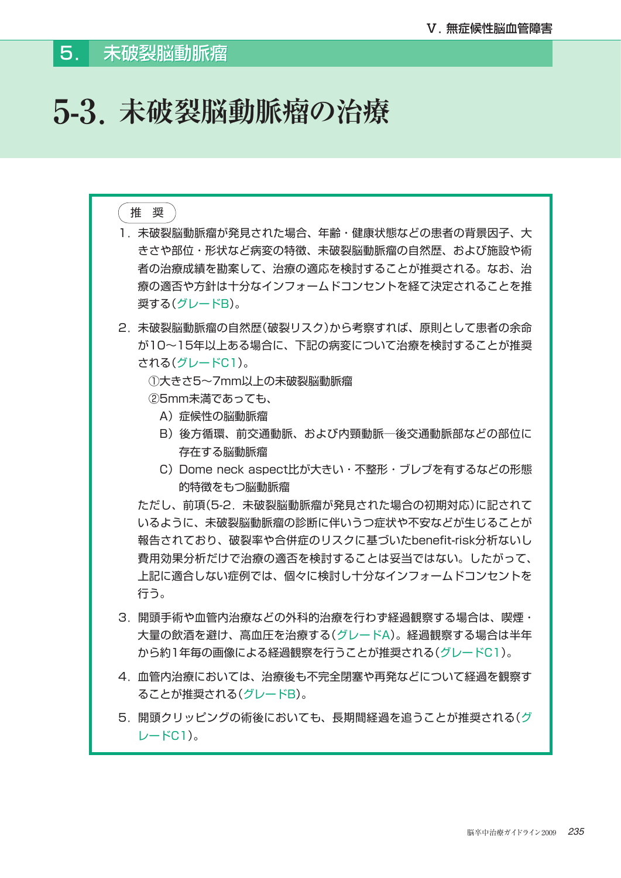# **5-3.未破裂脳動脈瘤の治療**

# 推 奨 1. 未破裂脳動脈瘤が発見された場合、年齢・健康状態などの患者の背景因子、大 きさや部位・形状など病変の特徴、未破裂脳動脈瘤の自然歴、および施設や術 者の治療成績を勘案して、治療の適応を検討することが推奨される。なお、治 療の適否や方針は十分なインフォームドコンセントを経て決定されることを推 奨する(グレードB)。 2. 未破裂脳動脈瘤の自然歴(破裂リスク)から考察すれば、原則として患者の余命 が10~15年以上ある場合に、下記の病変について治療を検討することが推奨 される(グレードC1)。 ①大きさ5~7mm以上の未破裂脳動脈瘤 ②5mm未満であっても、 A)症候性の脳動脈瘤 B)後方循環、前交通動脈、および内頸動脈─後交通動脈部などの部位に 存在する脳動脈瘤 C) Dome neck aspect比が大きい・不整形・ブレブを有するなどの形態 的特徴をもつ脳動脈瘤 ただし、前項(5-2.未破裂脳動脈瘤が発見された場合の初期対応)に記されて いるように、未破裂脳動脈瘤の診断に伴いうつ症状や不安などが生じることが 報告されており、破裂率や合併症のリスクに基づいたbenefit-risk分析ないし 費用効果分析だけで治療の適否を検討することは妥当ではない。したがって、 上記に適合しない症例では、個々に検討し十分なインフォームドコンセントを 行う。 3. 開頭手術や血管内治療などの外科的治療を行わず経過観察する場合は、喫煙・ 大量の飲酒を避け、高血圧を治療する(グレードA)。経過観察する場合は半年 から約1年毎の画像による経過観察を行うことが推奨される(グレードC1)。 4. 血管内治療においては、治療後も不完全閉塞や再発などについて経過を観察す ることが推奨される(グレードB)。 5. 開頭クリッピングの術後においても、長期間経過を追うことが推奨される(グ レードC1)。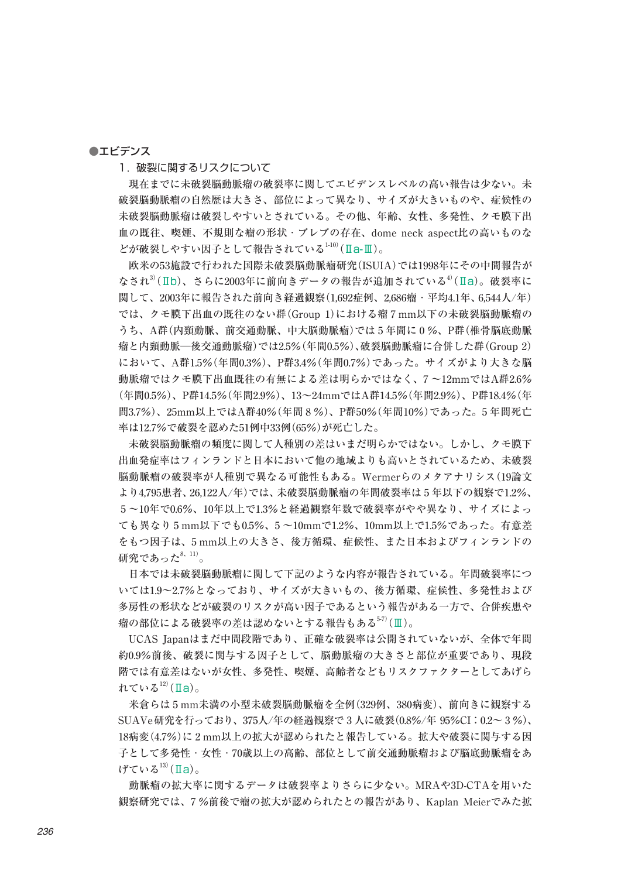#### ●エビデンス

1. 破裂に関するリスクについて

 現在までに未破裂脳動脈瘤の破裂率に関してエビデンスレベルの高い報告は少ない。未 破裂脳動脈瘤の自然歴は大きさ、部位によって異なり、サイズが大きいものや、症候性の 未破裂脳動脈瘤は破裂しやすいとされている。その他、年齢、女性、多発性、クモ膜下出 血の既往、喫煙、不規則な瘤の形状・ブレブの存在、dome neck aspect比の高いものな どが破裂しやすい因子として報告されている $^{1100}$ (Ia-III)。

 欧米の53施設で行われた国際未破裂脳動脈瘤研究(ISUIA)では1998年にその中間報告が なされ<sup>3</sup>(IIb)、さらに2003年に前向きデータの報告が追加されている<sup>4</sup>(IIa)。破裂率に 関して、2003年に報告された前向き経過観察(1,692症例、2,686瘤・平均4.1年、6,544人/年) では、クモ膜下出血の既往のない群(Group 1)における瘤 7 mm以下の未破裂脳動脈瘤の うち、A群(内頸動脈、前交通動脈、中大脳動脈瘤)では 5 年間に 0 %、P群(椎骨脳底動脈 瘤と内頸動脈─後交通動脈瘤)では2.5%(年間0.5%)、破裂脳動脈瘤に合併した群(Group 2) において、A群1.5%(年間0.3%)、P群3.4%(年間0.7%)であった。サイズがより大きな脳 動脈瘤ではクモ膜下出血既往の有無による差は明らかではなく、7 ~12mmではA群2.6% (年間0.5%)、P群14.5%(年間2.9%)、13~24mmではA群14.5%(年間2.9%)、P群18.4%(年 間3.7%)、25mm以上ではA群40%(年間 8 %)、P群50%(年間10%)であった。5 年間死亡 率は12.7%で破裂を認めた51例中33例(65%)が死亡した。

 未破裂脳動脈瘤の頻度に関して人種別の差はいまだ明らかではない。しかし、クモ膜下 出血発症率はフィンランドと日本において他の地域よりも高いとされているため、未破裂 脳動脈瘤の破裂率が人種別で異なる可能性もある。Wermerらのメタアナリシス(19論文 より4,795患者、26,122人/年)では、未破裂脳動脈瘤の年間破裂率は 5 年以下の観察で1.2%、 5 ~10年で0.6%、10年以上で1.3%と経過観察年数で破裂率がやや異なり、サイズによっ ても異なり 5 mm以下でも0.5%、5 ~10mmで1.2%、10mm以上で1.5%であった。有意差 をもつ因子は、5 mm以上の大きさ、後方循環、症候性、また日本およびフィンランドの 研究であった $8, 11$ )。

 日本では未破裂脳動脈瘤に関して下記のような内容が報告されている。年間破裂率につ いては1.9~2.7%となっており、サイズが大きいもの、後方循環、症候性、多発性および 多房性の形状などが破裂のリスクが高い因子であるという報告がある一方で、合併疾患や 瘤の部位による破裂率の差は認めないとする報告もある5-7)(Ⅲ)。

 UCAS Japanはまだ中間段階であり、正確な破裂率は公開されていないが、全体で年間 約0.9%前後、破裂に関与する因子として、脳動脈瘤の大きさと部位が重要であり、現段 階では有意差はないが女性、多発性、喫煙、高齢者などもリスクファクターとしてあげら れている $12)$ (Ⅱa)。

 米倉らは 5 mm未満の小型未破裂脳動脈瘤を全例(329例、380病変)、前向きに観察する SUAVe研究を行っており、375人/年の経過観察で 3 人に破裂(0.8%/年 95%CI:0.2~ 3 %)、 18病変(4.7%)に 2 mm以上の拡大が認められたと報告している。 拡大や破裂に関与する因 子として多発性・女性・70歳以上の高齢、部位として前交通動脈瘤および脳底動脈瘤をあ げている $13)$ (Ⅱa)。

 動脈瘤の拡大率に関するデータは破裂率よりさらに少ない。MRAや3D-CTAを用いた 観察研究では、7 %前後で瘤の拡大が認められたとの報告があり、Kaplan Meierでみた拡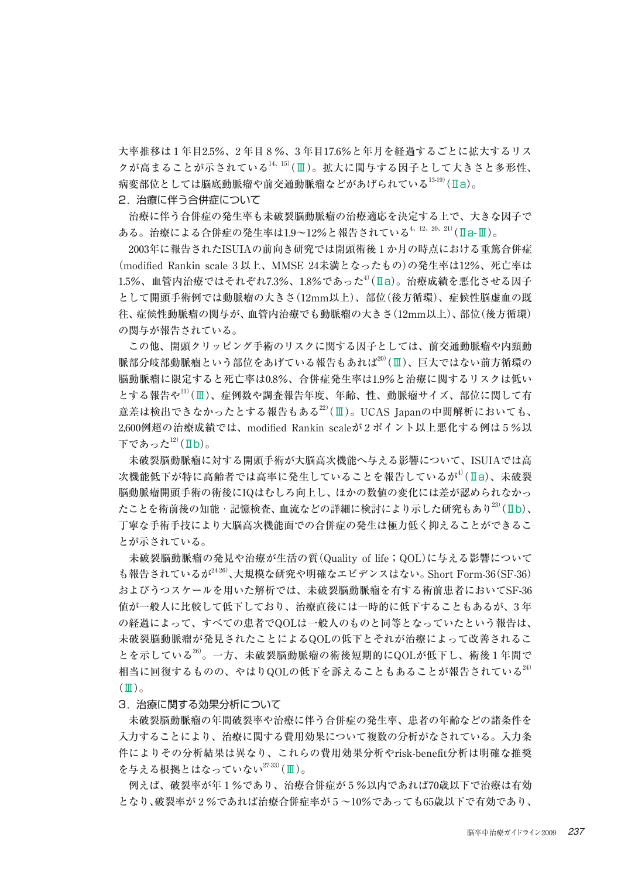大率推移は 1 年目2.5%、2 年目 8 %、3 年目17.6%と年月を経過するごとに拡大するリス クが高まることが示されている14、15)(Ⅲ)。拡大に関与する因子として大きさと多形性、 病変部位としては脳底動脈瘤や前交通動脈瘤などがあげられている13-19)(Ⅱa)。

2. 治療に伴う合併症について

 治療に伴う合併症の発生率も未破裂脳動脈瘤の治療適応を決定する上で、大きな因子で ある。治療による合併症の発生率は1.9~12%と報告されている4、12、20、21)(Ⅱa-Ⅲ)。

 2003年に報告されたISUIAの前向き研究では開頭術後 1 か月の時点における重篤合併症 (modified Rankin scale 3 以上、MMSE 24未満となったもの)の発生率は12%、死亡率は  $1.5\%$ 、血管内治療ではそれぞれ7.3%、1.8%であった $^{4)}$ (Ⅱa)。治療成績を悪化させる因子 として開頭手術例では動脈瘤の大きさ(12mm以上)、部位(後方循環)、症候性脳虚血の既 往、症候性動脈瘤の関与が、血管内治療でも動脈瘤の大きさ(12mm以上)、部位(後方循環) の関与が報告されている。

 この他、開頭クリッピング手術のリスクに関する因子としては、前交通動脈瘤や内頸動 脈部分岐部動脈瘤という部位をあげている報告もあれば20)(Ⅲ)、巨大ではない前方循環の 脳動脈瘤に限定すると死亡率は0.8%、合併症発生率は1.9%と治療に関するリスクは低い とする報告や21)(Ⅲ)、症例数や調査報告年度、年齢、性、動脈瘤サイズ、部位に関して有 意差は検出できなかったとする報告もある $^{22}$ (Ⅲ)。UCAS Japanの中間解析においても、 2,600例超の治療成績では、modified Rankin scaleが 2 ポイント以上悪化する例は 5 %以 下であった $12)$ (Ⅱb)。

 未破裂脳動脈瘤に対する開頭手術が大脳高次機能へ与える影響について、ISUIAでは高 次機能低下が特に高齢者では高率に発生していることを報告しているが $^{4/2}$ (Ia)、未破裂 脳動脈瘤開頭手術の術後にIQはむしろ向上し、ほかの数値の変化には差が認められなかっ たことを術前後の知能・記憶検査、血流などの詳細に検討により示した研究もあり<sup>23)</sup>(Ⅱb)、 丁寧な手術手技により大脳高次機能面での合併症の発生は極力低く抑えることができるこ とが示されている。

 未破裂脳動脈瘤の発見や治療が生活の質(Quality of life;QOL)に与える影響について も報告されているが $^{24\cdot26}$ 、大規模な研究や明確なエビデンスはない。Short Form-36(SF-36) およびうつスケールを用いた解析では、未破裂脳動脈瘤を有する術前患者においてSF-36 値が一般人に比較して低下しており、治療直後には一時的に低下することもあるが、3 年 の経過によって、すべての患者でQOLは一般人のものと同等となっていたという報告は、 未破裂脳動脈瘤が発見されたことによるQOLの低下とそれが治療によって改善されるこ とを示している<sup>26)</sup>。一方、未破裂脳動脈瘤の術後短期的にQOLが低下し、術後1年間で 相当に回復するものの、やはりQOLの低下を訴えることもあることが報告されている<sup>24)</sup>  $(\mathbb{I})_{\alpha}$ 

3. 治療に関する効果分析について

 未破裂脳動脈瘤の年間破裂率や治療に伴う合併症の発生率、患者の年齢などの諸条件を 入力することにより、治療に関する費用効果について複数の分析がなされている。入力条 件によりその分析結果は異なり、これらの費用効果分析やrisk-benefit分析は明確な推奨 を与える根拠とはなっていない $27-33$ )(Ⅲ)。

 例えば、破裂率が年 1 %であり、治療合併症が 5 %以内であれば70歳以下で治療は有効 となり、破裂率が 2 %であれば治療合併症率が 5 ~10%であっても65歳以下で有効であり、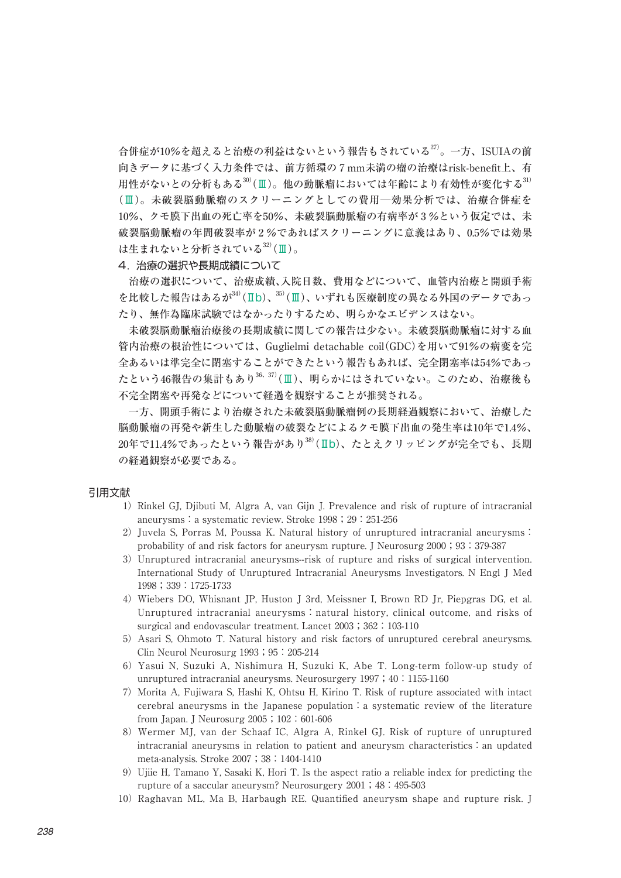合併症が10%を超えると治療の利益はないという報告もされている $^{27)}$ 。一方、ISUIAの前 向きデータに基づく入力条件では、前方循環の 7 mm未満の瘤の治療はrisk-benefit上、有 用性がないとの分析もある $30$ (Ⅲ)。他の動脈瘤においては年齢により有効性が変化する $31$ ) (Ⅲ)。未破裂脳動脈瘤のスクリーニングとしての費用─効果分析では、治療合併症を 10%、クモ膜下出血の死亡率を50%、未破裂脳動脈瘤の有病率が 3 %という仮定では、未 破裂脳動脈瘤の年間破裂率が 2 %であればスクリーニングに意義はあり、0.5%では効果 は生まれないと分析されている32)(Ⅲ)。

## 4. 治療の選択や長期成績について

 治療の選択について、治療成績、入院日数、費用などについて、血管内治療と開頭手術 を比較した報告はあるが34)(Ⅱb)、35)(Ⅲ)、いずれも医療制度の異なる外国のデータであっ たり、無作為臨床試験ではなかったりするため、明らかなエビデンスはない。

 未破裂脳動脈瘤治療後の長期成績に関しての報告は少ない。未破裂脳動脈瘤に対する血 管内治療の根治性については、Guglielmi detachable coil(GDC)を用いて91%の病変を完 全あるいは準完全に閉塞することができたという報告もあれば、完全閉塞率は54%であっ たという46報告の集計もあり<sup>36、37)</sup>(Ⅲ)、明らかにはされていない。このため、治療後も 不完全閉塞や再発などについて経過を観察することが推奨される。

 一方、開頭手術により治療された未破裂脳動脈瘤例の長期経過観察において、治療した 脳動脈瘤の再発や新生した動脈瘤の破裂などによるクモ膜下出血の発生率は10年で1.4%、 20年で11.4%であったという報告があり38)(Ⅱb)、たとえクリッピングが完全でも、長期 の経過観察が必要である。

## 引用文献

- 1) Rinkel GJ, Djibuti M, Algra A, van Gijn J. Prevalence and risk of rupture of intracranial aneurysms:a systematic review. Stroke 1998;29:251-256
- 2) Juvela S, Porras M, Poussa K. Natural history of unruptured intracranial aneurysms: probability of and risk factors for aneurysm rupture. J Neurosurg 2000;93:379-387
- 3)Unruptured intracranial aneurysms--risk of rupture and risks of surgical intervention. International Study of Unruptured Intracranial Aneurysms Investigators. N Engl J Med 1998;339:1725-1733
- 4)Wiebers DO, Whisnant JP, Huston J 3rd, Meissner I, Brown RD Jr, Piepgras DG, et al. Unruptured intracranial aneurysms: natural history, clinical outcome, and risks of surgical and endovascular treatment. Lancet 2003; 362:103-110
- 5) Asari S, Ohmoto T. Natural history and risk factors of unruptured cerebral aneurysms. Clin Neurol Neurosurg 1993; 95: 205-214
- 6)Yasui N, Suzuki A, Nishimura H, Suzuki K, Abe T. Long-term follow-up study of unruptured intracranial aneurysms. Neurosurgery 1997;40:1155-1160
- 7)Morita A, Fujiwara S, Hashi K, Ohtsu H, Kirino T. Risk of rupture associated with intact cerebral aneurysms in the Japanese population:a systematic review of the literature from Japan. J Neurosurg 2005;102:601-606
- 8)Wermer MJ, van der Schaaf IC, Algra A, Rinkel GJ. Risk of rupture of unruptured  $intractanial$  aneurysms in relation to patient and aneurysm characteristics: an updated meta-analysis. Stroke 2007;38:1404-1410
- 9)Ujiie H, Tamano Y, Sasaki K, Hori T. Is the aspect ratio a reliable index for predicting the rupture of a saccular aneurysm? Neurosurgery 2001;48:495-503
- 10)Raghavan ML, Ma B, Harbaugh RE. Quantified aneurysm shape and rupture risk. J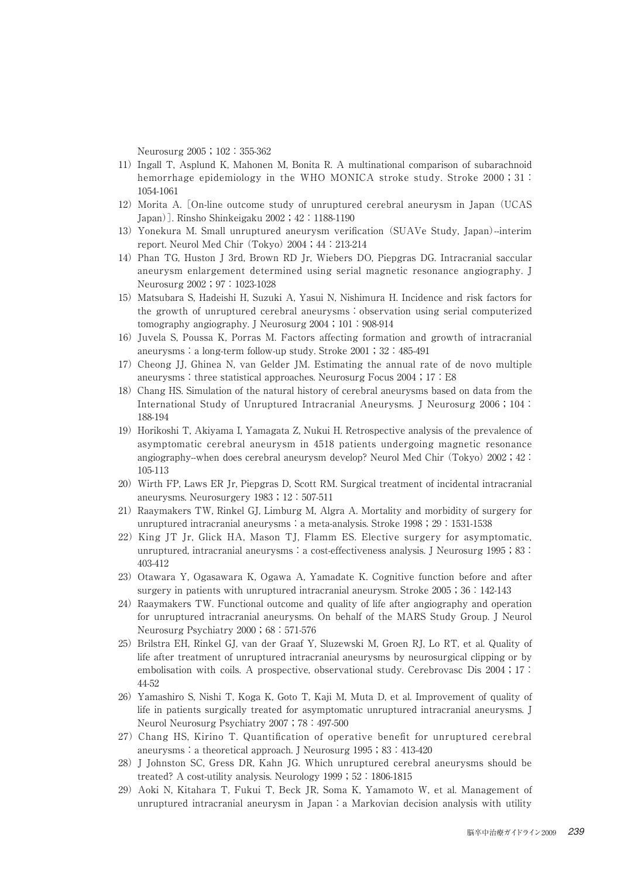Neurosurg 2005; 102:355-362

- 11)Ingall T, Asplund K, Mahonen M, Bonita R. A multinational comparison of subarachnoid hemorrhage epidemiology in the WHO MONICA stroke study. Stroke 2000; 31: 1054-1061
- 12)Morita A. [On-line outcome study of unruptured cerebral aneurysm in Japan (UCAS Japan)]. Rinsho Shinkeigaku 2002;42:1188-1190
- 13)Yonekura M. Small unruptured aneurysm verification (SUAVe Study, Japan)--interim report. Neurol Med Chir (Tokyo) 2004;44:213-214
- 14)Phan TG, Huston J 3rd, Brown RD Jr, Wiebers DO, Piepgras DG. Intracranial saccular aneurysm enlargement determined using serial magnetic resonance angiography. J Neurosurg 2002; 97:1023-1028
- 15)Matsubara S, Hadeishi H, Suzuki A, Yasui N, Nishimura H. Incidence and risk factors for the growth of unruptured cerebral aneurysms: observation using serial computerized tomography angiography. J Neurosurg 2004; 101:908-914
- 16)Juvela S, Poussa K, Porras M. Factors affecting formation and growth of intracranial aneurysms:a long-term follow-up study. Stroke 2001;32:485-491
- 17)Cheong JJ, Ghinea N, van Gelder JM. Estimating the annual rate of de novo multiple aneurysms: three statistical approaches. Neurosurg Focus  $2004$ ; 17: E8
- 18)Chang HS. Simulation of the natural history of cerebral aneurysms based on data from the International Study of Unruptured Intracranial Aneurysms. J Neurosurg 2006;104: 188-194
- 19)Horikoshi T, Akiyama I, Yamagata Z, Nukui H. Retrospective analysis of the prevalence of asymptomatic cerebral aneurysm in 4518 patients undergoing magnetic resonance angiography--when does cerebral aneurysm develop? Neurol Med Chir (Tokyo) 2002; 42: 105-113
- 20) Wirth FP, Laws ER Jr, Piepgras D, Scott RM. Surgical treatment of incidental intracranial aneurysms. Neurosurgery 1983;12:507-511
- 21) Raaymakers TW, Rinkel GJ, Limburg M, Algra A. Mortality and morbidity of surgery for unruptured intracranial aneurysms: a meta-analysis. Stroke 1998;  $29:1531-1538$
- 22) King JT Jr, Glick HA, Mason TJ, Flamm ES. Elective surgery for asymptomatic, unruptured, intracranial aneurysms: a cost-effectiveness analysis. J Neurosurg  $1995$ ; 83: 403-412
- 23) Otawara Y, Ogasawara K, Ogawa A, Yamadate K, Cognitive function before and after surgery in patients with unruptured intracranial aneurysm. Stroke 2005;36:142-143
- 24) Raaymakers TW. Functional outcome and quality of life after angiography and operation for unruptured intracranial aneurysms. On behalf of the MARS Study Group. J Neurol Neurosurg Psychiatry 2000;68:571-576
- 25) Brilstra EH, Rinkel GJ, van der Graaf Y, Sluzewski M, Groen RJ, Lo RT, et al. Quality of life after treatment of unruptured intracranial aneurysms by neurosurgical clipping or by embolisation with coils. A prospective, observational study. Cerebrovasc Dis 2004; 17: 44-52
- 26) Yamashiro S, Nishi T, Koga K, Goto T, Kaji M, Muta D, et al. Improvement of quality of life in patients surgically treated for asymptomatic unruptured intracranial aneurysms. J Neurol Neurosurg Psychiatry 2007;78:497-500
- 27)Chang HS, Kirino T. Quantification of operative benefit for unruptured cerebral aneurysms: a theoretical approach. J Neurosurg 1995; 83:413-420
- 28)J Johnston SC, Gress DR, Kahn JG. Which unruptured cerebral aneurysms should be treated? A cost-utility analysis. Neurology 1999; 52:1806-1815
- 29)Aoki N, Kitahara T, Fukui T, Beck JR, Soma K, Yamamoto W, et al. Management of unruptured intracranial aneurysm in Japan: a Markovian decision analysis with utility